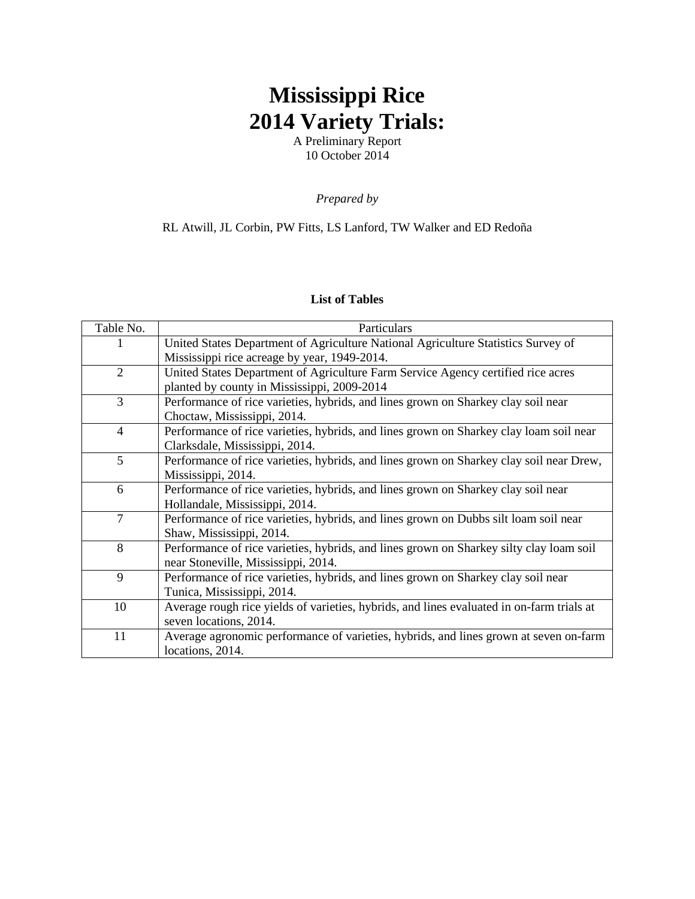## **Mississippi Rice 2014 Variety Trials:**

A Preliminary Report 10 October 2014

*Prepared by* 

## RL Atwill, JL Corbin, PW Fitts, LS Lanford, TW Walker and ED Redoña

## **List of Tables**

| Table No.      | Particulars                                                                               |
|----------------|-------------------------------------------------------------------------------------------|
|                | United States Department of Agriculture National Agriculture Statistics Survey of         |
|                | Mississippi rice acreage by year, 1949-2014.                                              |
| $\overline{2}$ | United States Department of Agriculture Farm Service Agency certified rice acres          |
|                | planted by county in Mississippi, 2009-2014                                               |
| 3              | Performance of rice varieties, hybrids, and lines grown on Sharkey clay soil near         |
|                | Choctaw, Mississippi, 2014.                                                               |
| $\overline{4}$ | Performance of rice varieties, hybrids, and lines grown on Sharkey clay loam soil near    |
|                | Clarksdale, Mississippi, 2014.                                                            |
| 5              | Performance of rice varieties, hybrids, and lines grown on Sharkey clay soil near Drew,   |
|                | Mississippi, 2014.                                                                        |
| 6              | Performance of rice varieties, hybrids, and lines grown on Sharkey clay soil near         |
|                | Hollandale, Mississippi, 2014.                                                            |
| 7              | Performance of rice varieties, hybrids, and lines grown on Dubbs silt loam soil near      |
|                | Shaw, Mississippi, 2014.                                                                  |
| 8              | Performance of rice varieties, hybrids, and lines grown on Sharkey silty clay loam soil   |
|                | near Stoneville, Mississippi, 2014.                                                       |
| 9              | Performance of rice varieties, hybrids, and lines grown on Sharkey clay soil near         |
|                | Tunica, Mississippi, 2014.                                                                |
| 10             | Average rough rice yields of varieties, hybrids, and lines evaluated in on-farm trials at |
|                | seven locations, 2014.                                                                    |
| 11             | Average agronomic performance of varieties, hybrids, and lines grown at seven on-farm     |
|                | locations, 2014.                                                                          |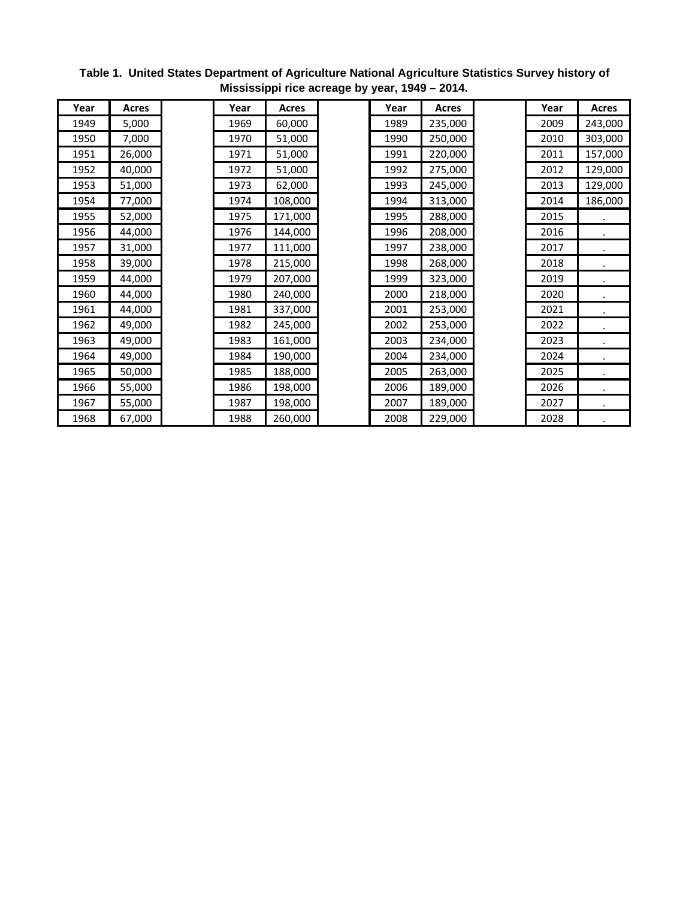| Year | <b>Acres</b> | Year | <b>Acres</b> | Year | <b>Acres</b> | Year | <b>Acres</b> |
|------|--------------|------|--------------|------|--------------|------|--------------|
| 1949 | 5,000        | 1969 | 60,000       | 1989 | 235,000      | 2009 | 243,000      |
| 1950 | 7,000        | 1970 | 51,000       | 1990 | 250,000      | 2010 | 303,000      |
| 1951 | 26,000       | 1971 | 51,000       | 1991 | 220,000      | 2011 | 157,000      |
| 1952 | 40,000       | 1972 | 51,000       | 1992 | 275,000      | 2012 | 129,000      |
| 1953 | 51,000       | 1973 | 62,000       | 1993 | 245,000      | 2013 | 129,000      |
| 1954 | 77,000       | 1974 | 108,000      | 1994 | 313,000      | 2014 | 186,000      |
| 1955 | 52,000       | 1975 | 171,000      | 1995 | 288,000      | 2015 |              |
| 1956 | 44,000       | 1976 | 144,000      | 1996 | 208,000      | 2016 |              |
| 1957 | 31,000       | 1977 | 111,000      | 1997 | 238,000      | 2017 |              |
| 1958 | 39,000       | 1978 | 215,000      | 1998 | 268,000      | 2018 |              |
| 1959 | 44,000       | 1979 | 207,000      | 1999 | 323,000      | 2019 |              |
| 1960 | 44,000       | 1980 | 240,000      | 2000 | 218,000      | 2020 |              |
| 1961 | 44,000       | 1981 | 337,000      | 2001 | 253,000      | 2021 |              |
| 1962 | 49,000       | 1982 | 245,000      | 2002 | 253,000      | 2022 |              |
| 1963 | 49,000       | 1983 | 161,000      | 2003 | 234,000      | 2023 |              |
| 1964 | 49,000       | 1984 | 190,000      | 2004 | 234,000      | 2024 |              |
| 1965 | 50,000       | 1985 | 188,000      | 2005 | 263,000      | 2025 |              |
| 1966 | 55,000       | 1986 | 198,000      | 2006 | 189,000      | 2026 |              |
| 1967 | 55,000       | 1987 | 198,000      | 2007 | 189,000      | 2027 |              |
| 1968 | 67,000       | 1988 | 260,000      | 2008 | 229,000      | 2028 |              |

**Table 1. United States Department of Agriculture National Agriculture Statistics Survey history of Mississippi rice acreage by year, 1949 – 2014.**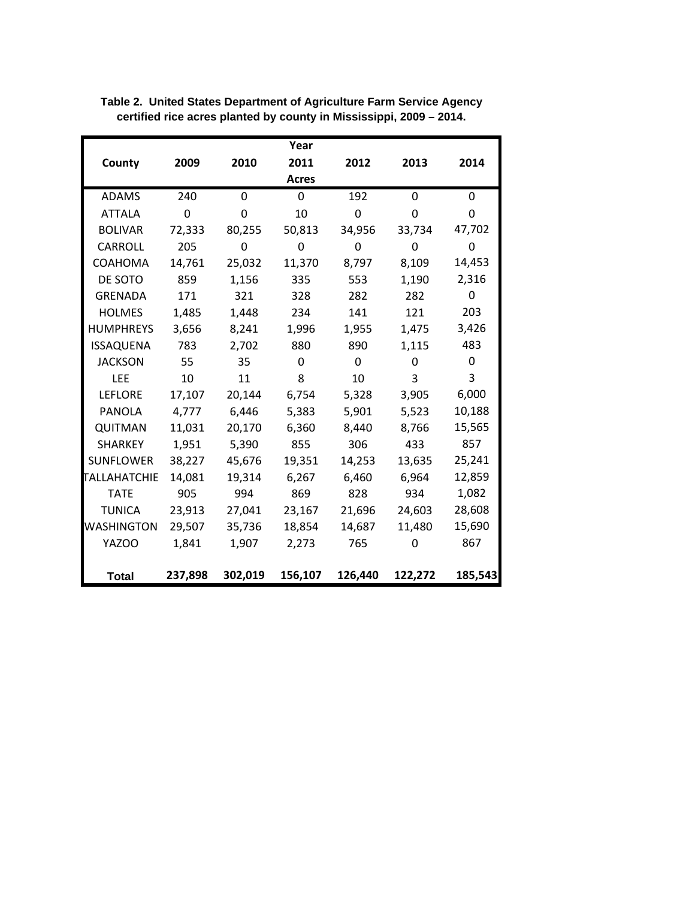|                     |          |          | Year     |          |          |          |
|---------------------|----------|----------|----------|----------|----------|----------|
| County              | 2009     | 2010     | 2011     | 2012     | 2013     | 2014     |
|                     |          |          | Acres    |          |          |          |
| <b>ADAMS</b>        | 240      | $\Omega$ | $\Omega$ | 192      | $\Omega$ | $\Omega$ |
| <b>ATTALA</b>       | $\Omega$ | 0        | 10       | 0        | 0        | 0        |
| <b>BOLIVAR</b>      | 72,333   | 80,255   | 50,813   | 34,956   | 33,734   | 47,702   |
| <b>CARROLL</b>      | 205      | 0        | 0        | 0        | 0        | 0        |
| <b>COAHOMA</b>      | 14,761   | 25,032   | 11,370   | 8,797    | 8,109    | 14,453   |
| DE SOTO             | 859      | 1,156    | 335      | 553      | 1,190    | 2,316    |
| <b>GRENADA</b>      | 171      | 321      | 328      | 282      | 282      | 0        |
| <b>HOLMES</b>       | 1,485    | 1,448    | 234      | 141      | 121      | 203      |
| <b>HUMPHREYS</b>    | 3,656    | 8,241    | 1,996    | 1,955    | 1,475    | 3,426    |
| <b>ISSAQUENA</b>    | 783      | 2,702    | 880      | 890      | 1,115    | 483      |
| <b>JACKSON</b>      | 55       | 35       | $\Omega$ | $\Omega$ | $\Omega$ | 0        |
| <b>LEE</b>          | 10       | 11       | 8        | 10       | 3        | 3        |
| <b>LEFLORE</b>      | 17,107   | 20,144   | 6,754    | 5,328    | 3,905    | 6,000    |
| <b>PANOLA</b>       | 4,777    | 6,446    | 5,383    | 5,901    | 5,523    | 10,188   |
| QUITMAN             | 11,031   | 20,170   | 6,360    | 8,440    | 8,766    | 15,565   |
| <b>SHARKEY</b>      | 1,951    | 5,390    | 855      | 306      | 433      | 857      |
| <b>SUNFLOWER</b>    | 38,227   | 45,676   | 19,351   | 14,253   | 13,635   | 25,241   |
| <b>TALLAHATCHIE</b> | 14,081   | 19,314   | 6,267    | 6,460    | 6,964    | 12,859   |
| <b>TATE</b>         | 905      | 994      | 869      | 828      | 934      | 1,082    |
| <b>TUNICA</b>       | 23,913   | 27,041   | 23,167   | 21,696   | 24,603   | 28,608   |
| WASHINGTON          | 29,507   | 35,736   | 18,854   | 14,687   | 11,480   | 15,690   |
| YAZOO               | 1,841    | 1,907    | 2,273    | 765      | 0        | 867      |
|                     |          |          |          |          |          |          |
| <b>Total</b>        | 237,898  | 302,019  | 156,107  | 126,440  | 122,272  | 185,543  |

**Table 2. United States Department of Agriculture Farm Service Agency certified rice acres planted by county in Mississippi, 2009 – 2014.**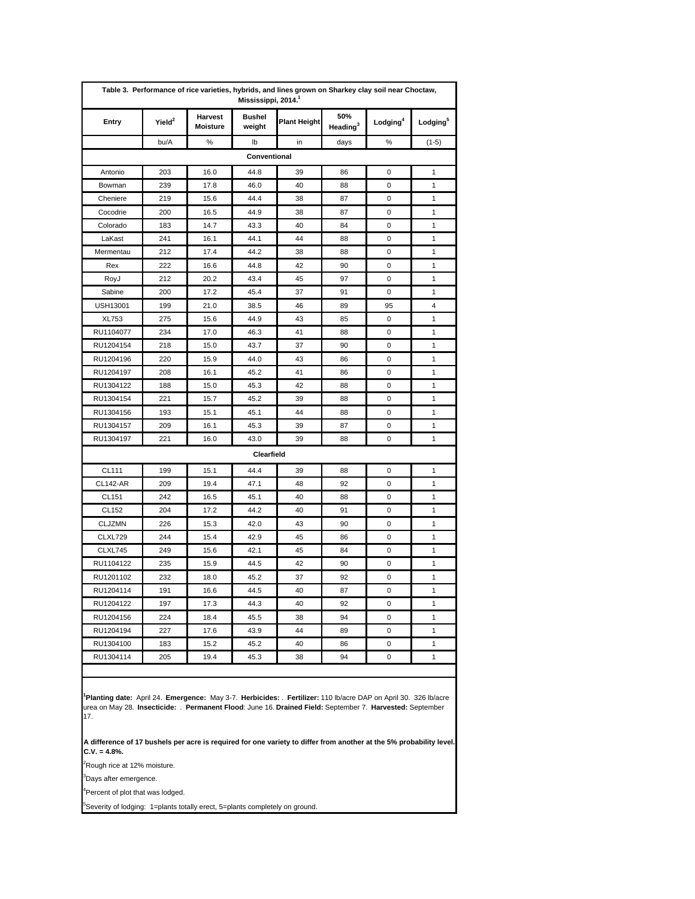| Entry           | Yield <sup>2</sup> | Harvest<br><b>Moisture</b> | <b>Bushel</b><br>weight | <b>Plant Height</b> | 50%<br>Heading <sup>3</sup> | Lodging <sup>4</sup> | Lodging <sup>5</sup> |
|-----------------|--------------------|----------------------------|-------------------------|---------------------|-----------------------------|----------------------|----------------------|
|                 | bu/A               | %                          | lb                      | in                  | days                        | %                    | $(1-5)$              |
|                 |                    |                            | Conventional            |                     |                             |                      |                      |
| Antonio         | 203                | 16.0                       | 44.8                    | 39                  | 86                          | 0                    | 1                    |
| Bowman          | 239                | 17.8                       | 46.0                    | 40                  | 88                          | 0                    | $\mathbf{1}$         |
| Cheniere        | 219                | 15.6                       | 44.4                    | 38                  | 87                          | 0                    | 1                    |
| Cocodrie        | 200                | 16.5                       | 44.9                    | 38                  | 87                          | 0                    | $\mathbf{1}$         |
| Colorado        | 183                | 14.7                       | 43.3                    | 40                  | 84                          | 0                    | 1                    |
| LaKast          | 241                | 16.1                       | 44.1                    | 44                  | 88                          | 0                    | 1                    |
| Mermentau       | 212                | 17.4                       | 44.2                    | 38                  | 88                          | 0                    | 1                    |
| Rex             | 222                | 16.6                       | 44.8                    | 42                  | 90                          | 0                    | 1                    |
| RoyJ            | 212                | 20.2                       | 43.4                    | 45                  | 97                          | 0                    | 1                    |
| Sabine          | 200                | 17.2                       | 45.4                    | 37                  | 91                          | 0                    | 1                    |
| <b>USH13001</b> | 199                | 21.0                       | 38.5                    | 46                  | 89                          | 95                   | 4                    |
| XL753           | 275                | 15.6                       | 44.9                    | 43                  | 85                          | 0                    | 1                    |
| RU1104077       | 234                | 17.0                       | 46.3                    | 41                  | 88                          | 0                    | 1                    |
| RU1204154       | 218                | 15.0                       | 43.7                    | 37                  | 90                          | 0                    | $\mathbf{1}$         |
| RU1204196       | 220                | 15.9                       | 44.0                    | 43                  | 86                          | 0                    | $\mathbf{1}$         |
| RU1204197       | 208                | 16.1                       | 45.2                    | 41                  | 86                          | 0                    | 1                    |
| RU1304122       | 188                | 15.0                       | 45.3                    | 42                  | 88                          | 0                    | 1                    |
| RU1304154       | 221                | 15.7                       | 45.2                    | 39                  | 88                          | 0                    | $\mathbf{1}$         |
| RU1304156       | 193                | 15.1                       | 45.1                    | 44                  | 88                          | 0                    | 1                    |
| RU1304157       | 209                | 16.1                       | 45.3                    | 39                  | 87                          | 0                    | 1                    |
| RU1304197       | 221                | 16.0                       | 43.0                    | 39                  | 88                          | 0                    | 1                    |
|                 |                    |                            | Clearfield              |                     |                             |                      |                      |
| <b>CL111</b>    | 199                | 15.1                       | 44.4                    | 39                  | 88                          | 0                    | 1                    |
| <b>CL142-AR</b> | 209                | 19.4                       | 47.1                    | 48                  | 92                          | 0                    | 1                    |
| CL151           | 242                | 16.5                       | 45.1                    | 40                  | 88                          | 0                    | 1                    |
| CL152           | 204                | 17.2                       | 44.2                    | 40                  | 91                          | 0                    | 1                    |
| <b>CLJZMN</b>   | 226                | 15.3                       | 42.0                    | 43                  | 90                          | 0                    | 1                    |
| <b>CLXL729</b>  | 244                | 15.4                       | 42.9                    | 45                  | 86                          | 0                    | 1                    |
| CLXL745         | 249                | 15.6                       | 42.1                    | 45                  | 84                          | 0                    | 1                    |
| RU1104122       | 235                | 15.9                       | 44.5                    | 42                  | 90                          | 0                    | 1                    |
| RU1201102       | 232                | 18.0                       | 45.2                    | 37                  | 92                          | 0                    | $\mathbf{1}$         |
| RU1204114       | 191                | 16.6                       | 44.5                    | 40                  | 87                          | 0                    | 1                    |
| RU1204122       | 197                | 17.3                       | 44.3                    | 40                  | 92                          | 0                    | 1                    |
| RU1204156       | 224                | 18.4                       | 45.5                    | 38                  | 94                          | 0                    | $\mathbf{1}$         |
| RU1204194       | 227                | 17.6                       | 43.9                    | 44                  | 89                          | 0                    | 1                    |
| RU1304100       | 183                | 15.2                       | 45.2                    | 40                  | 86                          | 0                    | 1                    |
| RU1304114       | 205                | 19.4                       | 45.3                    | 38                  | 94                          | 0                    | $\mathbf{1}$         |

**1 Planting date:** April 24. **Emergence:** May 3-7. **Herbicides:** . **Fertilizer:** 110 lb/acre DAP on April 30. 326 lb/acre urea on May 28. **Insecticide:** . **Permanent Flood**: June 16. **Drained Field:** September 7. **Harvested:** September 17.

**A difference of 17 bushels per acre is required for one variety to differ from another at the 5% probability level. C.V. = 4.8%.**

<sup>2</sup>Rough rice at 12% moisture.

<sup>3</sup>Days after emergence.

<sup>4</sup>Percent of plot that was lodged.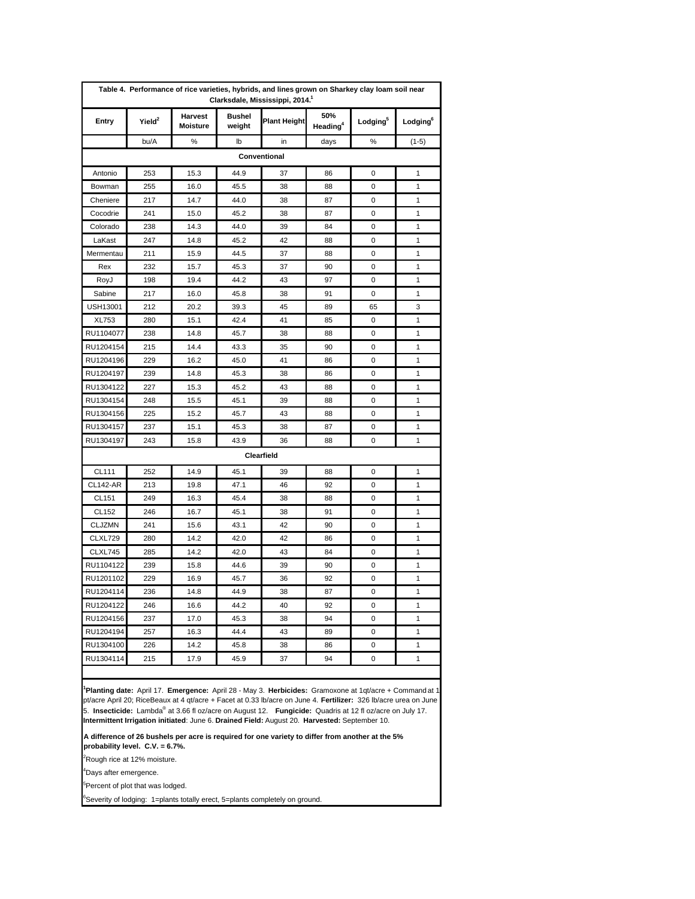|                 | Table 4. Performance of rice varieties, hybrids, and lines grown on Sharkey clay loam soil near<br>Clarksdale, Mississippi, 2014. <sup>1</sup> |                            |                         |                     |                             |                      |                      |  |  |  |  |  |
|-----------------|------------------------------------------------------------------------------------------------------------------------------------------------|----------------------------|-------------------------|---------------------|-----------------------------|----------------------|----------------------|--|--|--|--|--|
| Entry           | $Y$ ield $^2$                                                                                                                                  | <b>Harvest</b><br>Moisture | <b>Bushel</b><br>weight | <b>Plant Height</b> | 50%<br>Heading <sup>4</sup> | Lodging <sup>5</sup> | Lodging <sup>6</sup> |  |  |  |  |  |
|                 | bu/A                                                                                                                                           | %                          | lb                      | in                  | days                        | %                    | $(1-5)$              |  |  |  |  |  |
|                 |                                                                                                                                                |                            |                         | Conventional        |                             |                      |                      |  |  |  |  |  |
| Antonio         | 253                                                                                                                                            | 15.3                       | 44.9                    | 37                  | 86                          | 0                    | 1                    |  |  |  |  |  |
| Bowman          | 255                                                                                                                                            | 16.0                       | 45.5                    | 38                  | 88                          | 0                    | 1                    |  |  |  |  |  |
| Cheniere        | 217                                                                                                                                            | 14.7                       | 44.0                    | 38                  | 87                          | 0                    | 1                    |  |  |  |  |  |
| Cocodrie        | 241                                                                                                                                            | 15.0                       | 45.2                    | 38                  | 87                          | 0                    | 1                    |  |  |  |  |  |
| Colorado        | 238                                                                                                                                            | 14.3                       | 44.0                    | 39                  | 84                          | 0                    | 1                    |  |  |  |  |  |
| LaKast          | 247                                                                                                                                            | 14.8                       | 45.2                    | 42                  | 88                          | 0                    | 1                    |  |  |  |  |  |
| Mermentau       | 211                                                                                                                                            | 15.9                       | 44.5                    | 37                  | 88                          | 0                    | 1                    |  |  |  |  |  |
| Rex             | 232                                                                                                                                            | 15.7                       | 45.3                    | 37                  | 90                          | 0                    | 1                    |  |  |  |  |  |
| RoyJ            | 198                                                                                                                                            | 19.4                       | 44.2                    | 43                  | 97                          | 0                    | 1                    |  |  |  |  |  |
| Sabine          | 217                                                                                                                                            | 16.0                       | 45.8                    | 38                  | 91                          | 0                    | 1                    |  |  |  |  |  |
| <b>USH13001</b> | 212                                                                                                                                            | 20.2                       | 39.3                    | 45                  | 89                          | 65                   | 3                    |  |  |  |  |  |
| <b>XL753</b>    | 280                                                                                                                                            | 15.1                       | 42.4                    | 41                  | 85                          | 0                    | 1                    |  |  |  |  |  |
| RU1104077       | 238                                                                                                                                            | 14.8                       | 45.7                    | 38                  | 88                          | 0                    | 1                    |  |  |  |  |  |
| RU1204154       | 215                                                                                                                                            | 14.4                       | 43.3                    | 35                  | 90                          | 0                    | 1                    |  |  |  |  |  |
| RU1204196       | 229                                                                                                                                            | 16.2                       | 45.0                    | 41                  | 86                          | 0                    | 1                    |  |  |  |  |  |
| RU1204197       | 239                                                                                                                                            | 14.8                       | 45.3                    | 38                  | 86                          | 0                    | 1                    |  |  |  |  |  |
| RU1304122       | 227                                                                                                                                            | 15.3                       | 45.2                    | 43                  | 88                          | 0                    | 1                    |  |  |  |  |  |
| RU1304154       | 248                                                                                                                                            | 15.5                       | 45.1                    | 39                  | 88                          | 0                    | 1                    |  |  |  |  |  |
| RU1304156       | 225                                                                                                                                            | 15.2                       | 45.7                    | 43                  | 88                          | 0                    | 1                    |  |  |  |  |  |
| RU1304157       | 237                                                                                                                                            | 15.1                       | 45.3                    | 38                  | 87                          | 0                    | 1                    |  |  |  |  |  |
| RU1304197       | 243                                                                                                                                            | 15.8                       | 43.9                    | 36                  | 88                          | 0                    | 1                    |  |  |  |  |  |
|                 |                                                                                                                                                |                            |                         | Clearfield          |                             |                      |                      |  |  |  |  |  |
| CL111           | 252                                                                                                                                            | 14.9                       | 45.1                    | 39                  | 88                          | 0                    | 1                    |  |  |  |  |  |
| <b>CL142-AR</b> | 213                                                                                                                                            | 19.8                       | 47.1                    | 46                  | 92                          | 0                    | 1                    |  |  |  |  |  |
| CL151           | 249                                                                                                                                            | 16.3                       | 45.4                    | 38                  | 88                          | 0                    | 1                    |  |  |  |  |  |
| CL152           | 246                                                                                                                                            | 16.7                       | 45.1                    | 38                  | 91                          | 0                    | 1                    |  |  |  |  |  |
| <b>CLJZMN</b>   | 241                                                                                                                                            | 15.6                       | 43.1                    | 42                  | 90                          | 0                    | 1                    |  |  |  |  |  |
| CLXL729         | 280                                                                                                                                            | 14.2                       | 42.0                    | 42                  | 86                          | 0                    | 1                    |  |  |  |  |  |
| CLXL745         | 285                                                                                                                                            | 14.2                       | 42.0                    | 43                  | 84                          | 0                    | 1                    |  |  |  |  |  |
| RU1104122       | 239                                                                                                                                            | 15.8                       | 44.6                    | 39                  | 90                          | 0                    | 1                    |  |  |  |  |  |
| RU1201102       | 229                                                                                                                                            | 16.9                       | 45.7                    | 36                  | 92                          | 0                    | 1                    |  |  |  |  |  |
| RU1204114       | 236                                                                                                                                            | 14.8                       | 44.9                    | 38                  | 87                          | 0                    | 1                    |  |  |  |  |  |
| RU1204122       | 246                                                                                                                                            | 16.6                       | 44.2                    | 40                  | 92                          | 0                    | 1                    |  |  |  |  |  |
| RU1204156       | 237                                                                                                                                            | 17.0                       | 45.3                    | 38                  | 94                          | 0                    | 1                    |  |  |  |  |  |
| RU1204194       | 257                                                                                                                                            | 16.3                       | 44.4                    | 43                  | 89                          | 0                    | 1                    |  |  |  |  |  |
| RU1304100       | 226                                                                                                                                            | 14.2                       | 45.8                    | 38                  | 86                          | 0                    | 1                    |  |  |  |  |  |
| RU1304114       | 215                                                                                                                                            | 17.9                       | 45.9                    | 37                  | 94                          | 0                    | 1                    |  |  |  |  |  |
|                 |                                                                                                                                                |                            |                         |                     |                             |                      |                      |  |  |  |  |  |

**1 Planting date:** April 17. **Emergence:** April 28 - May 3. **Herbicides:** Gramoxone at 1qt/acre + Command at 1 pt/acre April 20; RiceBeaux at 4 qt/acre + Facet at 0.33 lb/acre on June 4. **Fertilizer:** 326 lb/acre urea on June 5. **Insecticide:** Lambda® at 3.66 fl oz/acre on August 12. **Fungicide:** Quadris at 12 fl oz/acre on July 17. **Intermittent Irrigation initiated**: June 6. **Drained Field:** August 20. **Harvested:** September 10.

**A difference of 26 bushels per acre is required for one variety to differ from another at the 5% probability level. C.V. = 6.7%.**

<sup>2</sup>Rough rice at 12% moisture.

4 Days after emergence.

<sup>5</sup>Percent of plot that was lodged.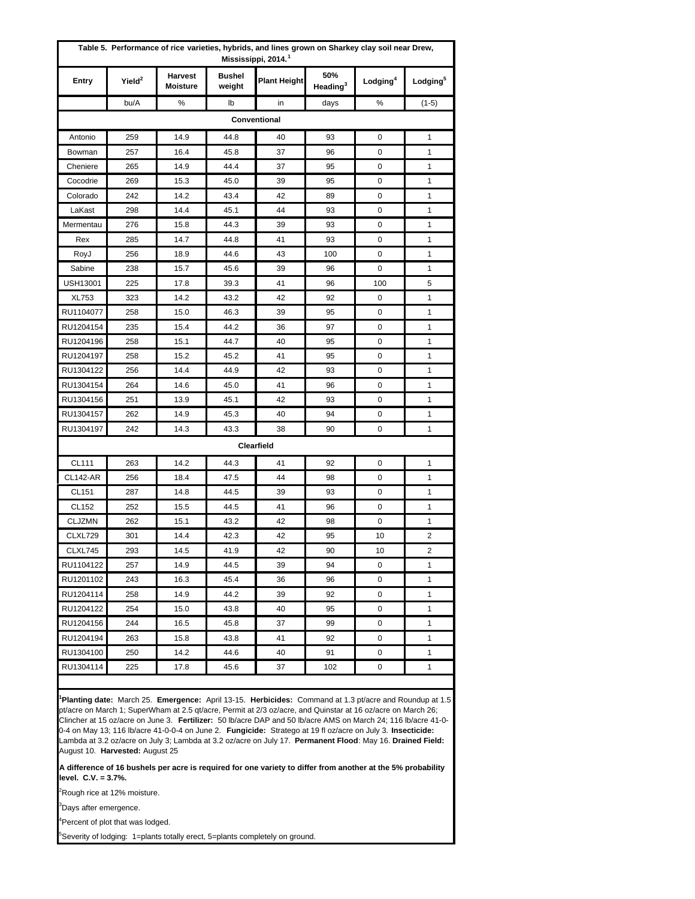|                 |                    | Table 5. Performance of rice varieties, hybrids, and lines grown on Sharkey clay soil near Drew, |                         | Mississippi, 2014. <sup>1</sup> |                             |                      |                      |
|-----------------|--------------------|--------------------------------------------------------------------------------------------------|-------------------------|---------------------------------|-----------------------------|----------------------|----------------------|
| Entry           | Yield <sup>2</sup> | <b>Harvest</b><br><b>Moisture</b>                                                                | <b>Bushel</b><br>weight | <b>Plant Height</b>             | 50%<br>Heading <sup>3</sup> | Lodging <sup>4</sup> | Lodging <sup>5</sup> |
|                 | bu/A               | %                                                                                                | lb                      | in                              | days                        | %                    | $(1-5)$              |
|                 |                    |                                                                                                  |                         | Conventional                    |                             |                      |                      |
| Antonio         | 259                | 14.9                                                                                             | 44.8                    | 40                              | 93                          | 0                    | 1                    |
| Bowman          | 257                | 16.4                                                                                             | 45.8                    | 37                              | 96                          | 0                    | 1                    |
| Cheniere        | 265                | 14.9                                                                                             | 44.4                    | 37                              | 95                          | 0                    | 1                    |
| Cocodrie        | 269                | 15.3                                                                                             | 45.0                    | 39                              | 95                          | 0                    | 1                    |
| Colorado        | 242                | 14.2                                                                                             | 43.4                    | 42                              | 89                          | 0                    | 1                    |
| LaKast          | 298                | 14.4                                                                                             | 45.1                    | 44                              | 93                          | 0                    | 1                    |
| Mermentau       | 276                | 15.8                                                                                             | 44.3                    | 39                              | 93                          | 0                    | 1                    |
| Rex             | 285                | 14.7                                                                                             | 44.8                    | 41                              | 93                          | 0                    | 1                    |
| RoyJ            | 256                | 18.9                                                                                             | 44.6                    | 43                              | 100                         | 0                    | 1                    |
| Sabine          | 238                | 15.7                                                                                             | 45.6                    | 39                              | 96                          | 0                    | 1                    |
| <b>USH13001</b> | 225                | 17.8                                                                                             | 39.3                    | 41                              | 96                          | 100                  | 5                    |
| <b>XL753</b>    | 323                | 14.2                                                                                             | 43.2                    | 42                              | 92                          | 0                    | 1                    |
| RU1104077       | 258                | 15.0                                                                                             | 46.3                    | 39                              | 95                          | 0                    | 1                    |
| RU1204154       | 235                | 15.4                                                                                             | 44.2                    | 36                              | 97                          | 0                    | 1                    |
| RU1204196       | 258                | 15.1                                                                                             | 44.7                    | 40                              | 95                          | 0                    | 1                    |
| RU1204197       | 258                | 15.2                                                                                             | 45.2                    | 41                              | 95                          | 0                    | 1                    |
| RU1304122       | 256                | 14.4                                                                                             | 44.9                    | 42                              | 93                          | 0                    | 1                    |
| RU1304154       | 264                | 14.6                                                                                             | 45.0                    | 41                              | 96                          | 0                    | 1                    |
| RU1304156       | 251                | 13.9                                                                                             | 45.1                    | 42                              | 93                          | 0                    | 1                    |
| RU1304157       | 262                | 14.9                                                                                             | 45.3                    | 40                              | 94                          | 0                    | 1                    |
| RU1304197       | 242                | 14.3                                                                                             | 43.3                    | 38                              | 90                          | 0                    | 1                    |
|                 |                    |                                                                                                  |                         | Clearfield                      |                             |                      |                      |
| <b>CL111</b>    | 263                | 14.2                                                                                             | 44.3                    | 41                              | 92                          | 0                    | 1                    |
| <b>CL142-AR</b> | 256                | 18.4                                                                                             | 47.5                    | 44                              | 98                          | 0                    | 1                    |
| CL151           | 287                | 14.8                                                                                             | 44.5                    | 39                              | 93                          | 0                    | 1                    |
| CL152           | 252                | 15.5                                                                                             | 44.5                    | 41                              | 96                          | 0                    | 1                    |
| <b>CLJZMN</b>   | 262                | 15.1                                                                                             | 43.2                    | 42                              | 98                          | 0                    | 1                    |
| CLXL729         | 301                | 14.4                                                                                             | 42.3                    | 42                              | 95                          | 10                   | 2                    |
| CLXL745         | 293                | 14.5                                                                                             | 41.9                    | 42                              | 90                          | 10                   | 2                    |
| RU1104122       | 257                | 14.9                                                                                             | 44.5                    | 39                              | 94                          | 0                    | 1                    |
| RU1201102       | 243                | 16.3                                                                                             | 45.4                    | 36                              | 96                          | 0                    | 1                    |
| RU1204114       | 258                | 14.9                                                                                             | 44.2                    | 39                              | 92                          | 0                    | 1                    |
| RU1204122       | 254                | 15.0                                                                                             | 43.8                    | 40                              | 95                          | 0                    | 1                    |
| RU1204156       | 244                | 16.5                                                                                             | 45.8                    | 37                              | 99                          | 0                    | 1                    |
| RU1204194       | 263                | 15.8                                                                                             | 43.8                    | 41                              | 92                          | 0                    | 1                    |
| RU1304100       | 250                | 14.2                                                                                             | 44.6                    | 40                              | 91                          | 0                    | 1                    |
| RU1304114       | 225                | 17.8                                                                                             | 45.6                    | 37                              | 102                         | 0                    | 1                    |

**1 Planting date:** March 25. **Emergence:** April 13-15. **Herbicides:** Command at 1.3 pt/acre and Roundup at 1.5 pt/acre on March 1; SuperWham at 2.5 qt/acre, Permit at 2/3 oz/acre, and Quinstar at 16 oz/acre on March 26; Clincher at 15 oz/acre on June 3. **Fertilizer:** 50 lb/acre DAP and 50 lb/acre AMS on March 24; 116 lb/acre 41-0- 0-4 on May 13; 116 lb/acre 41-0-0-4 on June 2. **Fungicide:** Stratego at 19 fl oz/acre on July 3. **Insecticide:**  Lambda at 3.2 oz/acre on July 3; Lambda at 3.2 oz/acre on July 17. **Permanent Flood**: May 16. **Drained Field:**  August 10. **Harvested:** August 25

**A difference of 16 bushels per acre is required for one variety to differ from another at the 5% probability level. C.V. = 3.7%.**

<sup>2</sup>Rough rice at 12% moisture.

<sup>3</sup>Days after emergence.

<sup>4</sup>Percent of plot that was lodged.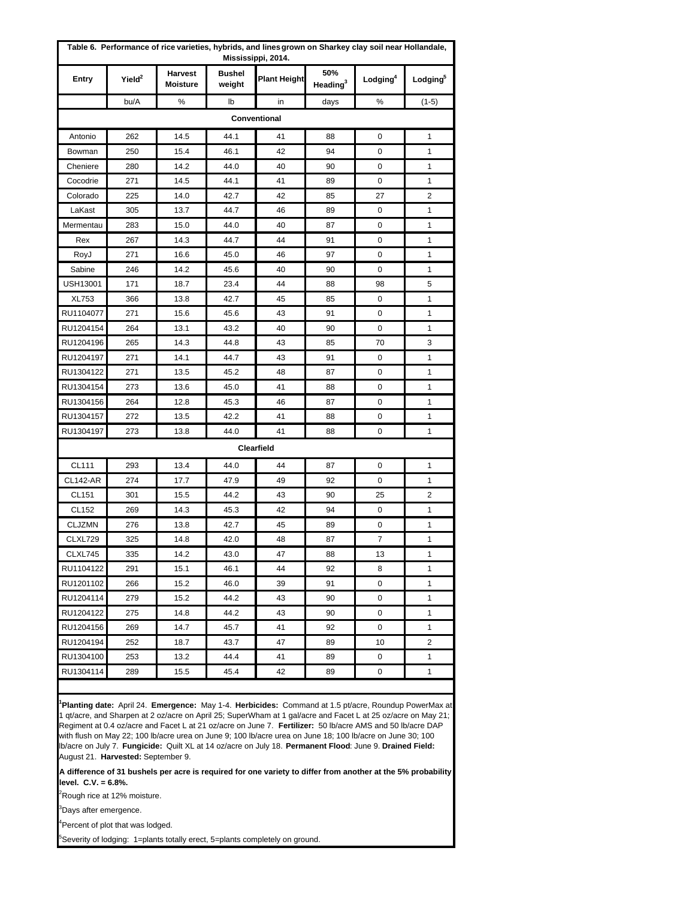| Table 6. Performance of rice varieties, hybrids, and lines grown on Sharkey clay soil near Hollandale,<br>Mississippi, 2014. |                    |                                   |                         |                     |                             |                         |                      |  |  |  |  |
|------------------------------------------------------------------------------------------------------------------------------|--------------------|-----------------------------------|-------------------------|---------------------|-----------------------------|-------------------------|----------------------|--|--|--|--|
| Entry                                                                                                                        | Yield <sup>2</sup> | <b>Harvest</b><br><b>Moisture</b> | <b>Bushel</b><br>weight | <b>Plant Height</b> | 50%<br>Heading <sup>3</sup> | $L$ odging <sup>4</sup> | Lodging <sup>5</sup> |  |  |  |  |
|                                                                                                                              | bu/A               | %                                 | lb                      | in                  | days                        | %                       | $(1-5)$              |  |  |  |  |
|                                                                                                                              |                    |                                   |                         | Conventional        |                             |                         |                      |  |  |  |  |
| Antonio                                                                                                                      | 262                | 14.5                              | 44.1                    | 41                  | 88                          | 0                       | 1                    |  |  |  |  |
| Bowman                                                                                                                       | 250                | 15.4                              | 46.1                    | 42                  | 94                          | 0                       | 1                    |  |  |  |  |
| Cheniere                                                                                                                     | 280                | 14.2                              | 44.0                    | 40                  | 90                          | 0                       | 1                    |  |  |  |  |
| Cocodrie                                                                                                                     | 271                | 14.5                              | 44.1                    | 41                  | 89                          | 0                       | 1                    |  |  |  |  |
| Colorado                                                                                                                     | 225                | 14.0                              | 42.7                    | 42                  | 85                          | 27                      | 2                    |  |  |  |  |
| LaKast                                                                                                                       | 305                | 13.7                              | 44.7                    | 46                  | 89                          | 0                       | 1                    |  |  |  |  |
| Mermentau                                                                                                                    | 283                | 15.0                              | 44.0                    | 40                  | 87                          | 0                       | 1                    |  |  |  |  |
| Rex                                                                                                                          | 267                | 14.3                              | 44.7                    | 44                  | 91                          | 0                       | 1                    |  |  |  |  |
| RoyJ                                                                                                                         | 271                | 16.6                              | 45.0                    | 46                  | 97                          | 0                       | 1                    |  |  |  |  |
| Sabine                                                                                                                       | 246                | 14.2                              | 45.6                    | 40                  | 90                          | 0                       | 1                    |  |  |  |  |
| USH13001                                                                                                                     | 171                | 18.7                              | 23.4                    | 44                  | 88                          | 98                      | 5                    |  |  |  |  |
| <b>XL753</b>                                                                                                                 | 366                | 13.8                              | 42.7                    | 45                  | 85                          | 0                       | 1                    |  |  |  |  |
| RU1104077                                                                                                                    | 271                | 15.6                              | 45.6                    | 43                  | 91                          | 0                       | 1                    |  |  |  |  |
| RU1204154                                                                                                                    | 264                | 13.1                              | 43.2                    | 40                  | 90                          | 0                       | 1                    |  |  |  |  |
| RU1204196                                                                                                                    | 265                | 14.3                              | 44.8                    | 43                  | 85                          | 70                      | 3                    |  |  |  |  |
| RU1204197                                                                                                                    | 271                | 14.1                              | 44.7                    | 43                  | 91                          | 0                       | 1                    |  |  |  |  |
| RU1304122                                                                                                                    | 271                | 13.5                              | 45.2                    | 48                  | 87                          | 0                       | 1                    |  |  |  |  |
| RU1304154                                                                                                                    | 273                | 13.6                              | 45.0                    | 41                  | 88                          | 0                       | 1                    |  |  |  |  |
| RU1304156                                                                                                                    | 264                | 12.8                              | 45.3                    | 46                  | 87                          | 0                       | 1                    |  |  |  |  |
| RU1304157                                                                                                                    | 272                | 13.5                              | 42.2                    | 41                  | 88                          | 0                       | 1                    |  |  |  |  |
| RU1304197                                                                                                                    | 273                | 13.8                              | 44.0                    | 41                  | 88                          | 0                       | 1                    |  |  |  |  |
|                                                                                                                              |                    |                                   |                         | Clearfield          |                             |                         |                      |  |  |  |  |
| CL111                                                                                                                        | 293                | 13.4                              | 44.0                    | 44                  | 87                          | 0                       | 1                    |  |  |  |  |
| <b>CL142-AR</b>                                                                                                              | 274                | 17.7                              | 47.9                    | 49                  | 92                          | 0                       | 1                    |  |  |  |  |
| CL151                                                                                                                        | 301                | 15.5                              | 44.2                    | 43                  | 90                          | 25                      | 2                    |  |  |  |  |
| CL152                                                                                                                        | 269                | 14.3                              | 45.3                    | 42                  | 94                          | 0                       | 1                    |  |  |  |  |
| <b>CLJZMN</b>                                                                                                                | 276                | 13.8                              | 42.7                    | 45                  | 89                          | 0                       | 1                    |  |  |  |  |
| CLXL729                                                                                                                      | 325                | 14.8                              | 42.0                    | 48                  | 87                          | 7                       | 1                    |  |  |  |  |
| CLXL745                                                                                                                      | 335                | 14.2                              | 43.0                    | 47                  | 88                          | 13                      | 1                    |  |  |  |  |
| RU1104122                                                                                                                    | 291                | 15.1                              | 46.1                    | 44                  | 92                          | 8                       | 1                    |  |  |  |  |
| RU1201102                                                                                                                    | 266                | 15.2                              | 46.0                    | 39                  | 91                          | 0                       | 1                    |  |  |  |  |
| RU1204114                                                                                                                    | 279                | 15.2                              | 44.2                    | 43                  | 90                          | 0                       | 1                    |  |  |  |  |
| RU1204122                                                                                                                    | 275                | 14.8                              | 44.2                    | 43                  | 90                          | 0                       | 1                    |  |  |  |  |
| RU1204156                                                                                                                    | 269                | 14.7                              | 45.7                    | 41                  | 92                          | 0                       | 1                    |  |  |  |  |
| RU1204194                                                                                                                    | 252                | 18.7                              | 43.7                    | 47                  | 89                          | 10                      | 2                    |  |  |  |  |
| RU1304100                                                                                                                    | 253                | 13.2                              | 44.4                    | 41                  | 89                          | 0                       | 1                    |  |  |  |  |
| RU1304114                                                                                                                    | 289                | 15.5                              | 45.4                    | 42                  | 89                          | 0                       | 1                    |  |  |  |  |

**1 Planting date:** April 24. **Emergence:** May 1-4. **Herbicides:** Command at 1.5 pt/acre, Roundup PowerMax at 1 qt/acre, and Sharpen at 2 oz/acre on April 25; SuperWham at 1 gal/acre and Facet L at 25 oz/acre on May 21; Regiment at 0.4 oz/acre and Facet L at 21 oz/acre on June 7. **Fertilizer:** 50 lb/acre AMS and 50 lb/acre DAP with flush on May 22; 100 lb/acre urea on June 9; 100 lb/acre urea on June 18; 100 lb/acre on June 30; 100 lb/acre on July 7. **Fungicide:** Quilt XL at 14 oz/acre on July 18. **Permanent Flood**: June 9. **Drained Field:**  August 21. **Harvested:** September 9.

**A difference of 31 bushels per acre is required for one variety to differ from another at the 5% probability level. C.V. = 6.8%.**

<sup>2</sup>Rough rice at 12% moisture.

<sup>3</sup>Days after emergence.

<sup>4</sup>Percent of plot that was lodged.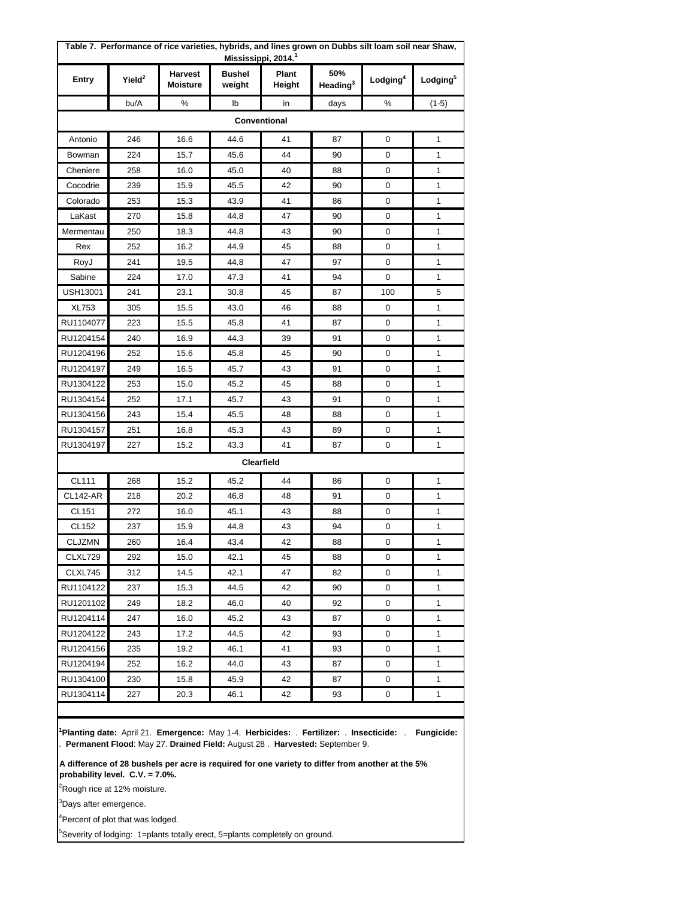| Table 7. Performance of rice varieties, hybrids, and lines grown on Dubbs silt loam soil near Shaw,<br>Mississippi, 2014. <sup>1</sup> |                    |                                   |                         |                 |                             |                      |                      |  |  |  |  |
|----------------------------------------------------------------------------------------------------------------------------------------|--------------------|-----------------------------------|-------------------------|-----------------|-----------------------------|----------------------|----------------------|--|--|--|--|
| Entry                                                                                                                                  | Yield <sup>2</sup> | <b>Harvest</b><br><b>Moisture</b> | <b>Bushel</b><br>weight | Plant<br>Height | 50%<br>Heading <sup>3</sup> | Lodging <sup>4</sup> | Lodging <sup>5</sup> |  |  |  |  |
|                                                                                                                                        | bu/A               | ℅                                 | lb                      | in              | days                        | %                    | $(1-5)$              |  |  |  |  |
|                                                                                                                                        |                    |                                   |                         | Conventional    |                             |                      |                      |  |  |  |  |
| Antonio                                                                                                                                | 246                | 16.6                              | 44.6                    | 41              | 87                          | 0                    | 1                    |  |  |  |  |
| Bowman                                                                                                                                 | 224                | 15.7                              | 45.6                    | 44              | 90                          | 0                    | 1                    |  |  |  |  |
| Cheniere                                                                                                                               | 258                | 16.0                              | 45.0                    | 40              | 88                          | 0                    | 1                    |  |  |  |  |
| Cocodrie                                                                                                                               | 239                | 15.9                              | 45.5                    | 42              | 90                          | 0                    | 1                    |  |  |  |  |
| Colorado                                                                                                                               | 253                | 15.3                              | 43.9                    | 41              | 86                          | 0                    | 1                    |  |  |  |  |
| LaKast                                                                                                                                 | 270                | 15.8                              | 44.8                    | 47              | 90                          | 0                    | 1                    |  |  |  |  |
| Mermentau                                                                                                                              | 250                | 18.3                              | 44.8                    | 43              | 90                          | 0                    | 1                    |  |  |  |  |
| Rex                                                                                                                                    | 252                | 16.2                              | 44.9                    | 45              | 88                          | 0                    | 1                    |  |  |  |  |
| RoyJ                                                                                                                                   | 241                | 19.5                              | 44.8                    | 47              | 97                          | 0                    | 1                    |  |  |  |  |
| Sabine                                                                                                                                 | 224                | 17.0                              | 47.3                    | 41              | 94                          | 0                    | 1                    |  |  |  |  |
| USH13001                                                                                                                               | 241                | 23.1                              | 30.8                    | 45              | 87                          | 100                  | 5                    |  |  |  |  |
| <b>XL753</b>                                                                                                                           | 305                | 15.5                              | 43.0                    | 46              | 88                          | 0                    | 1                    |  |  |  |  |
| RU1104077                                                                                                                              | 223                | 15.5                              | 45.8                    | 41              | 87                          | 0                    | 1                    |  |  |  |  |
| RU1204154                                                                                                                              | 240                | 16.9                              | 44.3                    | 39              | 91                          | 0                    | 1                    |  |  |  |  |
| RU1204196                                                                                                                              | 252                | 15.6                              | 45.8                    | 45              | 90                          | 0                    | 1                    |  |  |  |  |
| RU1204197                                                                                                                              | 249                | 16.5                              | 45.7                    | 43              | 91                          | 0                    | 1                    |  |  |  |  |
| RU1304122                                                                                                                              | 253                | 15.0                              | 45.2                    | 45              | 88                          | 0                    | 1                    |  |  |  |  |
| RU1304154                                                                                                                              | 252                | 17.1                              | 45.7                    | 43              | 91                          | 0                    | 1                    |  |  |  |  |
| RU1304156                                                                                                                              | 243                | 15.4                              | 45.5                    | 48              | 88                          | 0                    | 1                    |  |  |  |  |
| RU1304157                                                                                                                              | 251                | 16.8                              | 45.3                    | 43              | 89                          | 0                    | 1                    |  |  |  |  |
| RU1304197                                                                                                                              | 227                | 15.2                              | 43.3                    | 41              | 87                          | 0                    | 1                    |  |  |  |  |
|                                                                                                                                        |                    |                                   |                         | Clearfield      |                             |                      |                      |  |  |  |  |
| <b>CL111</b>                                                                                                                           | 268                | 15.2                              | 45.2                    | 44              | 86                          | 0                    | 1                    |  |  |  |  |
| <b>CL142-AR</b>                                                                                                                        | 218                | 20.2                              | 46.8                    | 48              | 91                          | 0                    | 1                    |  |  |  |  |
| CL151                                                                                                                                  | 272                | 16.0                              | 45.1                    | 43              | 88                          | 0                    | 1                    |  |  |  |  |
| CL152                                                                                                                                  | 237                | 15.9                              | 44.8                    | 43              | 94                          | 0                    | 1                    |  |  |  |  |
| <b>CLJZMN</b>                                                                                                                          | 260                | 16.4                              | 43.4                    | 42              | 88                          | 0                    | 1                    |  |  |  |  |
| CLXL729                                                                                                                                | 292                | 15.0                              | 42.1                    | 45              | 88                          | 0                    | 1                    |  |  |  |  |
| CLXL745                                                                                                                                | 312                | 14.5                              | 42.1                    | 47              | 82                          | 0                    | 1                    |  |  |  |  |
| RU1104122                                                                                                                              | 237                | 15.3                              | 44.5                    | 42              | 90                          | 0                    | 1                    |  |  |  |  |
| RU1201102                                                                                                                              | 249                | 18.2                              | 46.0                    | 40              | 92                          | 0                    | 1                    |  |  |  |  |
| RU1204114                                                                                                                              | 247                | 16.0                              | 45.2                    | 43              | 87                          | 0                    | 1                    |  |  |  |  |
| RU1204122                                                                                                                              | 243                | 17.2                              | 44.5                    | 42              | 93                          | 0                    | 1                    |  |  |  |  |
| RU1204156                                                                                                                              | 235                | 19.2                              | 46.1                    | 41              | 93                          | 0                    | 1                    |  |  |  |  |
| RU1204194                                                                                                                              | 252                | 16.2                              | 44.0                    | 43              | 87                          | 0                    | 1                    |  |  |  |  |
| RU1304100                                                                                                                              | 230                | 15.8                              | 45.9                    | 42              | 87                          | 0                    | 1                    |  |  |  |  |
| RU1304114                                                                                                                              | 227                | 20.3                              | 46.1                    | 42              | 93                          | 0                    | 1                    |  |  |  |  |

**1 Planting date:** April 21. **Emergence:** May 1-4. **Herbicides:** . **Fertilizer:** . **Insecticide:** . **Fungicide:**  . **Permanent Flood**: May 27. **Drained Field:** August 28 . **Harvested:** September 9.

**A difference of 28 bushels per acre is required for one variety to differ from another at the 5% probability level. C.V. = 7.0%.**

<sup>2</sup>Rough rice at 12% moisture.

<sup>3</sup>Days after emergence.

<sup>4</sup>Percent of plot that was lodged.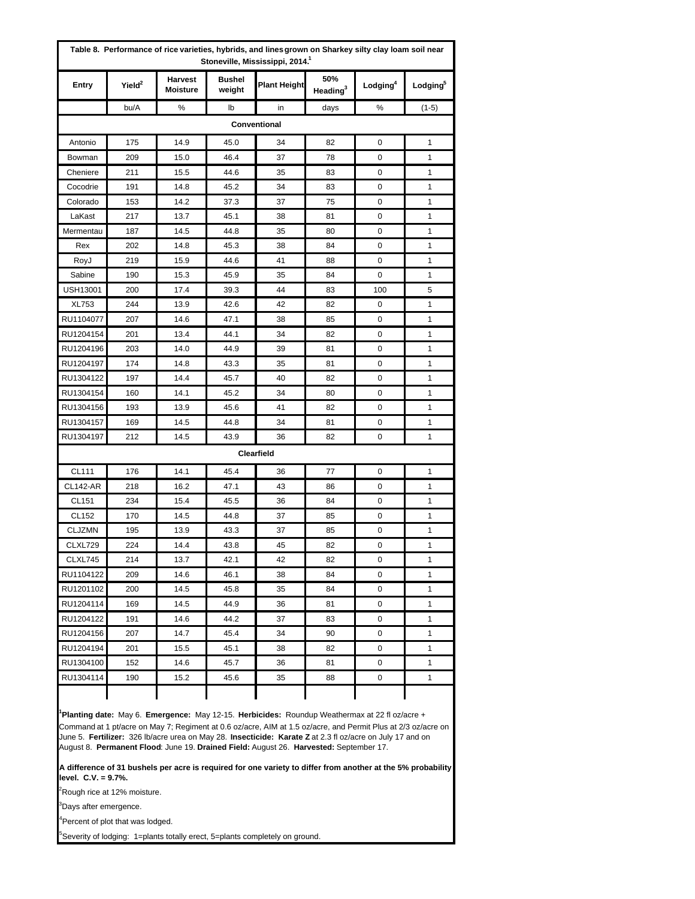|                 |                    | Table 8. Performance of rice varieties, hybrids, and lines grown on Sharkey silty clay loam soil near |                         | Stoneville, Mississippi, 2014. <sup>1</sup> |                             |                      |                      |
|-----------------|--------------------|-------------------------------------------------------------------------------------------------------|-------------------------|---------------------------------------------|-----------------------------|----------------------|----------------------|
| Entry           | Yield <sup>2</sup> | <b>Harvest</b><br><b>Moisture</b>                                                                     | <b>Bushel</b><br>weight | <b>Plant Height</b>                         | 50%<br>Heading <sup>3</sup> | Lodging <sup>4</sup> | Lodging <sup>5</sup> |
|                 | bu/A               | %                                                                                                     | lb                      | in                                          | days                        | ℅                    | $(1-5)$              |
|                 |                    |                                                                                                       |                         | Conventional                                |                             |                      |                      |
| Antonio         | 175                | 14.9                                                                                                  | 45.0                    | 34                                          | 82                          | 0                    | 1                    |
| Bowman          | 209                | 15.0                                                                                                  | 46.4                    | 37                                          | 78                          | 0                    | 1                    |
| Cheniere        | 211                | 15.5                                                                                                  | 44.6                    | 35                                          | 83                          | 0                    | 1                    |
| Cocodrie        | 191                | 14.8                                                                                                  | 45.2                    | 34                                          | 83                          | 0                    | 1                    |
| Colorado        | 153                | 14.2                                                                                                  | 37.3                    | 37                                          | 75                          | 0                    | 1                    |
| LaKast          | 217                | 13.7                                                                                                  | 45.1                    | 38                                          | 81                          | 0                    | 1                    |
| Mermentau       | 187                | 14.5                                                                                                  | 44.8                    | 35                                          | 80                          | 0                    | 1                    |
| Rex             | 202                | 14.8                                                                                                  | 45.3                    | 38                                          | 84                          | 0                    | 1                    |
| RoyJ            | 219                | 15.9                                                                                                  | 44.6                    | 41                                          | 88                          | 0                    | 1                    |
| Sabine          | 190                | 15.3                                                                                                  | 45.9                    | 35                                          | 84                          | 0                    | 1                    |
| <b>USH13001</b> | 200                | 17.4                                                                                                  | 39.3                    | 44                                          | 83                          | 100                  | 5                    |
| <b>XL753</b>    | 244                | 13.9                                                                                                  | 42.6                    | 42                                          | 82                          | 0                    | 1                    |
| RU1104077       | 207                | 14.6                                                                                                  | 47.1                    | 38                                          | 85                          | 0                    | 1                    |
| RU1204154       | 201                | 13.4                                                                                                  | 44.1                    | 34                                          | 82                          | 0                    | 1                    |
| RU1204196       | 203                | 14.0                                                                                                  | 44.9                    | 39                                          | 81                          | 0                    | $\mathbf{1}$         |
| RU1204197       | 174                | 14.8                                                                                                  | 43.3                    | 35                                          | 81                          | 0                    | 1                    |
| RU1304122       | 197                | 14.4                                                                                                  | 45.7                    | 40                                          | 82                          | 0                    | 1                    |
| RU1304154       | 160                | 14.1                                                                                                  | 45.2                    | 34                                          | 80                          | 0                    | 1                    |
| RU1304156       | 193                | 13.9                                                                                                  | 45.6                    | 41                                          | 82                          | 0                    | 1                    |
| RU1304157       | 169                | 14.5                                                                                                  | 44.8                    | 34                                          | 81                          | 0                    | 1                    |
| RU1304197       | 212                | 14.5                                                                                                  | 43.9                    | 36                                          | 82                          | 0                    | 1                    |
|                 |                    |                                                                                                       |                         | Clearfield                                  |                             |                      |                      |
| CL111           | 176                | 14.1                                                                                                  | 45.4                    | 36                                          | 77                          | 0                    | 1                    |
| <b>CL142-AR</b> | 218                | 16.2                                                                                                  | 47.1                    | 43                                          | 86                          | 0                    | 1                    |
| CL151           | 234                | 15.4                                                                                                  | 45.5                    | 36                                          | 84                          | 0                    | 1                    |
| CL152           | 170                | 14.5                                                                                                  | 44.8                    | 37                                          | 85                          | 0                    | 1                    |
| <b>CLJZMN</b>   | 195                | 13.9                                                                                                  | 43.3                    | 37                                          | 85                          | 0                    | 1                    |
| CLXL729         | 224                | 14.4                                                                                                  | 43.8                    | 45                                          | 82                          | 0                    | 1                    |
| CLXL745         | 214                | 13.7                                                                                                  | 42.1                    | 42                                          | 82                          | 0                    | 1                    |
| RU1104122       | 209                | 14.6                                                                                                  | 46.1                    | 38                                          | 84                          | 0                    | 1                    |
| RU1201102       | 200                | 14.5                                                                                                  | 45.8                    | 35                                          | 84                          | 0                    | 1                    |
| RU1204114       | 169                | 14.5                                                                                                  | 44.9                    | 36                                          | 81                          | 0                    | 1                    |
| RU1204122       | 191                | 14.6                                                                                                  | 44.2                    | 37                                          | 83                          | 0                    | 1                    |
| RU1204156       | 207                | 14.7                                                                                                  | 45.4                    | 34                                          | 90                          | 0                    | 1                    |
| RU1204194       | 201                | 15.5                                                                                                  | 45.1                    | 38                                          | 82                          | 0                    | 1                    |
| RU1304100       | 152                | 14.6                                                                                                  | 45.7                    | 36                                          | 81                          | 0                    | 1                    |
| RU1304114       | 190                | 15.2                                                                                                  | 45.6                    | 35                                          | 88                          | 0                    | 1                    |
|                 |                    |                                                                                                       |                         |                                             |                             |                      |                      |

**1 Planting date:** May 6. **Emergence:** May 12-15. **Herbicides:** Roundup Weathermax at 22 fl oz/acre + Command at 1 pt/acre on May 7; Regiment at 0.6 oz/acre, AIM at 1.5 oz/acre, and Permit Plus at 2/3 oz/acre on June 5. **Fertilizer:** 326 lb/acre urea on May 28. **Insecticide: Karate Z** at 2.3 fl oz/acre on July 17 and on August 8. **Permanent Flood**: June 19. **Drained Field:** August 26. **Harvested:** September 17.

**A difference of 31 bushels per acre is required for one variety to differ from another at the 5% probability level. C.V. = 9.7%.**

<sup>2</sup>Rough rice at 12% moisture.

<sup>3</sup>Days after emergence.

<sup>4</sup>Percent of plot that was lodged.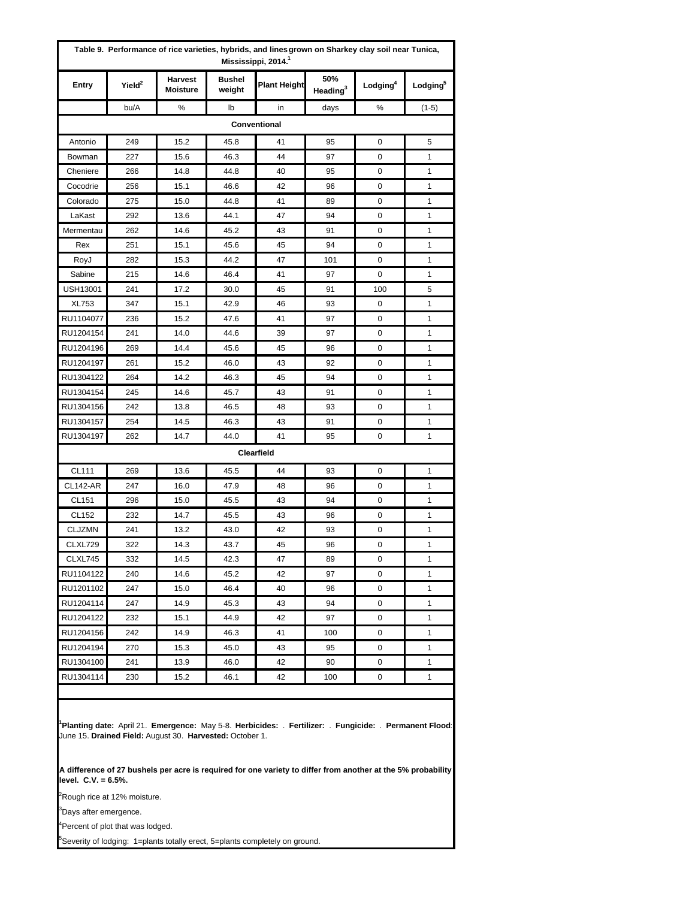| Entry           | Yield <sup>2</sup> | <b>Harvest</b><br><b>Moisture</b> | <b>Bushel</b><br>weight | <b>Plant Height</b> | 50%<br>Heading $3$ | Lodging <sup>4</sup> | Lodging <sup>5</sup> |
|-----------------|--------------------|-----------------------------------|-------------------------|---------------------|--------------------|----------------------|----------------------|
|                 | bu/A               | %                                 | lb                      | in                  | days               | ℅                    | $(1-5)$              |
|                 |                    |                                   |                         | Conventional        |                    |                      |                      |
| Antonio         | 249                | 15.2                              | 45.8                    | 41                  | 95                 | 0                    | 5                    |
| Bowman          | 227                | 15.6                              | 46.3                    | 44                  | 97                 | 0                    | 1                    |
| Cheniere        | 266                | 14.8                              | 44.8                    | 40                  | 95                 | 0                    | 1                    |
| Cocodrie        | 256                | 15.1                              | 46.6                    | 42                  | 96                 | 0                    | 1                    |
| Colorado        | 275                | 15.0                              | 44.8                    | 41                  | 89                 | 0                    | 1                    |
| LaKast          | 292                | 13.6                              | 44.1                    | 47                  | 94                 | 0                    | 1                    |
| Mermentau       | 262                | 14.6                              | 45.2                    | 43                  | 91                 | 0                    | 1                    |
| Rex             | 251                | 15.1                              | 45.6                    | 45                  | 94                 | 0                    | 1                    |
| RoyJ            | 282                | 15.3                              | 44.2                    | 47                  | 101                | 0                    | 1                    |
| Sabine          | 215                | 14.6                              | 46.4                    | 41                  | 97                 | 0                    | 1                    |
| USH13001        | 241                | 17.2                              | 30.0                    | 45                  | 91                 | 100                  | 5                    |
| <b>XL753</b>    | 347                | 15.1                              | 42.9                    | 46                  | 93                 | 0                    | 1                    |
| RU1104077       | 236                | 15.2                              | 47.6                    | 41                  | 97                 | 0                    | 1                    |
| RU1204154       | 241                | 14.0                              | 44.6                    | 39                  | 97                 | 0                    | 1                    |
| RU1204196       | 269                | 14.4                              | 45.6                    | 45                  | 96                 | 0                    | 1                    |
| RU1204197       | 261                | 15.2                              | 46.0                    | 43                  | 92                 | 0                    | 1                    |
| RU1304122       | 264                | 14.2                              | 46.3                    | 45                  | 94                 | 0                    | 1                    |
| RU1304154       | 245                | 14.6                              | 45.7                    | 43                  | 91                 | 0                    | 1                    |
| RU1304156       | 242                | 13.8                              | 46.5                    | 48                  | 93                 | 0                    | 1                    |
| RU1304157       | 254                | 14.5                              | 46.3                    | 43                  | 91                 | 0                    | $\mathbf{1}$         |
| RU1304197       | 262                | 14.7                              | 44.0                    | 41                  | 95                 | 0                    | 1                    |
|                 |                    |                                   |                         | Clearfield          |                    |                      |                      |
| CL111           | 269                | 13.6                              | 45.5                    | 44                  | 93                 | 0                    | 1                    |
| <b>CL142-AR</b> | 247                | 16.0                              | 47.9                    | 48                  | 96                 | 0                    | 1                    |
| CL151           | 296                | 15.0                              | 45.5                    | 43                  | 94                 | 0                    | 1                    |
| CL152           | 232                | 14.7                              | 45.5                    | 43                  | 96                 | 0                    | 1                    |
| <b>CLJZMN</b>   | 241                | 13.2                              | 43.0                    | 42                  | 93                 | 0                    | $\mathbf{1}$         |
| CLXL729         | 322                | 14.3                              | 43.7                    | 45                  | 96                 | 0                    | 1                    |
| CLXL745         | 332                | 14.5                              | 42.3                    | 47                  | 89                 | 0                    | 1                    |
| RU1104122       | 240                | 14.6                              | 45.2                    | 42                  | 97                 | 0                    | 1                    |
| RU1201102       | 247                | 15.0                              | 46.4                    | 40                  | 96                 | 0                    | 1                    |
| RU1204114       | 247                | 14.9                              | 45.3                    | 43                  | 94                 | 0                    | 1                    |
| RU1204122       | 232                | 15.1                              | 44.9                    | 42                  | 97                 | 0                    | 1                    |
| RU1204156       | 242                | 14.9                              | 46.3                    | 41                  | 100                | 0                    | 1                    |
| RU1204194       | 270                | 15.3                              | 45.0                    | 43                  | 95                 | 0                    | 1                    |
| RU1304100       | 241                | 13.9                              | 46.0                    | 42                  | 90                 | 0                    | 1                    |
| RU1304114       | 230                | 15.2                              | 46.1                    | 42                  | 100                | 0                    | 1                    |

**1 Planting date:** April 21. **Emergence:** May 5-8. **Herbicides:** . **Fertilizer:** . **Fungicide:** . **Permanent Flood**: June 15. **Drained Field:** August 30. **Harvested:** October 1.

**A difference of 27 bushels per acre is required for one variety to differ from another at the 5% probability level. C.V. = 6.5%.**

<sup>2</sup>Rough rice at 12% moisture.

<sup>3</sup>Days after emergence.

<sup>4</sup>Percent of plot that was lodged.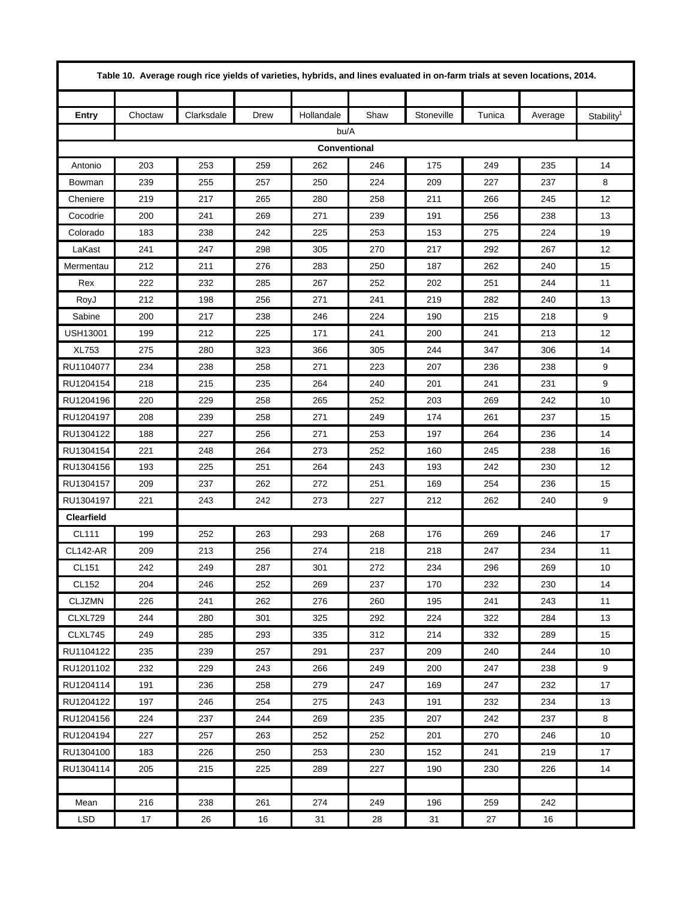|                   | Table 10. Average rough rice yields of varieties, hybrids, and lines evaluated in on-farm trials at seven locations, 2014. |            |      |              |      |            |        |         |                        |  |  |  |
|-------------------|----------------------------------------------------------------------------------------------------------------------------|------------|------|--------------|------|------------|--------|---------|------------------------|--|--|--|
|                   |                                                                                                                            |            |      |              |      |            |        |         |                        |  |  |  |
| <b>Entry</b>      | Choctaw                                                                                                                    | Clarksdale | Drew | Hollandale   | Shaw | Stoneville | Tunica | Average | Stability <sup>1</sup> |  |  |  |
|                   |                                                                                                                            |            |      | bu/A         |      |            |        |         |                        |  |  |  |
|                   |                                                                                                                            |            |      | Conventional |      |            |        |         |                        |  |  |  |
| Antonio           | 203                                                                                                                        | 253        | 259  | 262          | 246  | 175        | 249    | 235     | 14                     |  |  |  |
| Bowman            | 239                                                                                                                        | 255        | 257  | 250          | 224  | 209        | 227    | 237     | 8                      |  |  |  |
| Cheniere          | 219                                                                                                                        | 217        | 265  | 280          | 258  | 211        | 266    | 245     | 12                     |  |  |  |
| Cocodrie          | 200                                                                                                                        | 241        | 269  | 271          | 239  | 191        | 256    | 238     | 13                     |  |  |  |
| Colorado          | 183                                                                                                                        | 238        | 242  | 225          | 253  | 153        | 275    | 224     | 19                     |  |  |  |
| LaKast            | 241                                                                                                                        | 247        | 298  | 305          | 270  | 217        | 292    | 267     | 12                     |  |  |  |
| Mermentau         | 212                                                                                                                        | 211        | 276  | 283          | 250  | 187        | 262    | 240     | 15                     |  |  |  |
| Rex               | 222                                                                                                                        | 232        | 285  | 267          | 252  | 202        | 251    | 244     | 11                     |  |  |  |
| RoyJ              | 212                                                                                                                        | 198        | 256  | 271          | 241  | 219        | 282    | 240     | 13                     |  |  |  |
| Sabine            | 200                                                                                                                        | 217        | 238  | 246          | 224  | 190        | 215    | 218     | 9                      |  |  |  |
| <b>USH13001</b>   | 199                                                                                                                        | 212        | 225  | 171          | 241  | 200        | 241    | 213     | 12                     |  |  |  |
| XL753             | 275                                                                                                                        | 280        | 323  | 366          | 305  | 244        | 347    | 306     | 14                     |  |  |  |
| RU1104077         | 234                                                                                                                        | 238        | 258  | 271          | 223  | 207        | 236    | 238     | 9                      |  |  |  |
| RU1204154         | 218                                                                                                                        | 215        | 235  | 264          | 240  | 201        | 241    | 231     | 9                      |  |  |  |
| RU1204196         | 220                                                                                                                        | 229        | 258  | 265          | 252  | 203        | 269    | 242     | 10                     |  |  |  |
| RU1204197         | 208                                                                                                                        | 239        | 258  | 271          | 249  | 174        | 261    | 237     | 15                     |  |  |  |
| RU1304122         | 188                                                                                                                        | 227        | 256  | 271          | 253  | 197        | 264    | 236     | 14                     |  |  |  |
| RU1304154         | 221                                                                                                                        | 248        | 264  | 273          | 252  | 160        | 245    | 238     | 16                     |  |  |  |
| RU1304156         | 193                                                                                                                        | 225        | 251  | 264          | 243  | 193        | 242    | 230     | 12                     |  |  |  |
| RU1304157         | 209                                                                                                                        | 237        | 262  | 272          | 251  | 169        | 254    | 236     | 15                     |  |  |  |
| RU1304197         | 221                                                                                                                        | 243        | 242  | 273          | 227  | 212        | 262    | 240     | 9                      |  |  |  |
| <b>Clearfield</b> |                                                                                                                            |            |      |              |      |            |        |         |                        |  |  |  |
| CL111             | 199                                                                                                                        | 252        | 263  | 293          | 268  | 176        | 269    | 246     | 17                     |  |  |  |
| <b>CL142-AR</b>   | 209                                                                                                                        | 213        | 256  | 274          | 218  | 218        | 247    | 234     | 11                     |  |  |  |
| <b>CL151</b>      | 242                                                                                                                        | 249        | 287  | 301          | 272  | 234        | 296    | 269     | 10                     |  |  |  |
| CL152             | 204                                                                                                                        | 246        | 252  | 269          | 237  | 170        | 232    | 230     | 14                     |  |  |  |
| <b>CLJZMN</b>     | 226                                                                                                                        | 241        | 262  | 276          | 260  | 195        | 241    | 243     | 11                     |  |  |  |
| CLXL729           | 244                                                                                                                        | 280        | 301  | 325          | 292  | 224        | 322    | 284     | 13                     |  |  |  |
| CLXL745           | 249                                                                                                                        | 285        | 293  | 335          | 312  | 214        | 332    | 289     | 15                     |  |  |  |
| RU1104122         | 235                                                                                                                        | 239        | 257  | 291          | 237  | 209        | 240    | 244     | 10                     |  |  |  |
| RU1201102         | 232                                                                                                                        | 229        | 243  | 266          | 249  | 200        | 247    | 238     | 9                      |  |  |  |
| RU1204114         | 191                                                                                                                        | 236        | 258  | 279          | 247  | 169        | 247    | 232     | 17                     |  |  |  |
| RU1204122         | 197                                                                                                                        | 246        | 254  | 275          | 243  | 191        | 232    | 234     | 13                     |  |  |  |
| RU1204156         | 224                                                                                                                        | 237        | 244  | 269          | 235  | 207        | 242    | 237     | 8                      |  |  |  |
| RU1204194         | 227                                                                                                                        | 257        | 263  | 252          | 252  | 201        | 270    | 246     | 10                     |  |  |  |
| RU1304100         | 183                                                                                                                        | 226        | 250  | 253          | 230  | 152        | 241    | 219     | 17                     |  |  |  |
| RU1304114         | 205                                                                                                                        | 215        | 225  | 289          | 227  | 190        | 230    | 226     | 14                     |  |  |  |
|                   |                                                                                                                            |            |      |              |      |            |        |         |                        |  |  |  |
| Mean              | 216                                                                                                                        | 238        | 261  | 274          | 249  | 196        | 259    | 242     |                        |  |  |  |
| LSD               | 17                                                                                                                         | 26         | 16   | 31           | 28   | 31         | 27     | 16      |                        |  |  |  |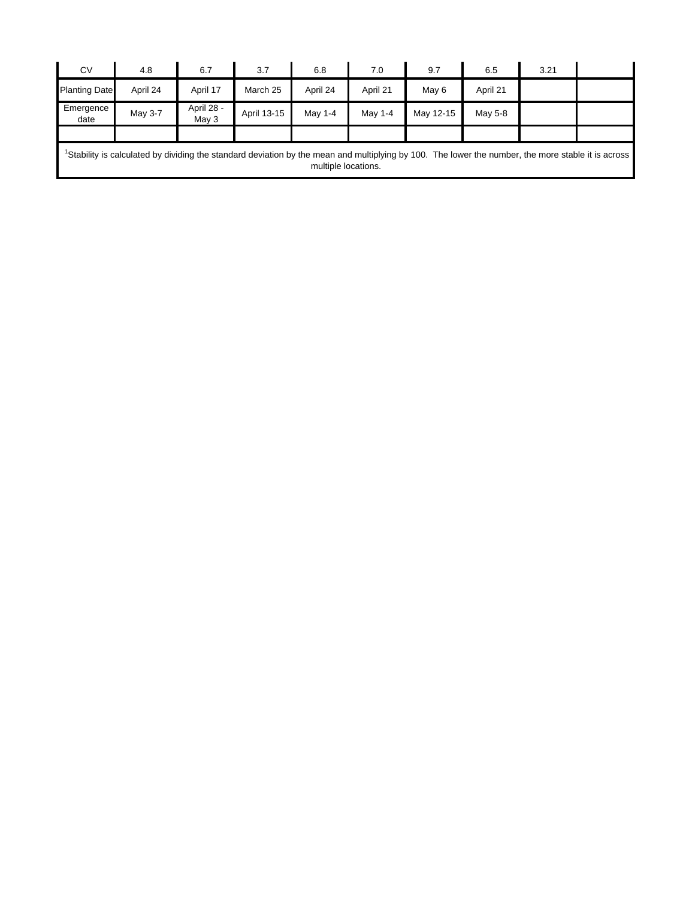| <b>CV</b>            | 4.8                                                                                                                                                            | 6.7                 | 3.7         | 6.8                 | 7.0      | 9.7       | 6.5      | 3.21 |  |
|----------------------|----------------------------------------------------------------------------------------------------------------------------------------------------------------|---------------------|-------------|---------------------|----------|-----------|----------|------|--|
| <b>Planting Date</b> | April 24                                                                                                                                                       | April 17            | March 25    | April 24            | April 21 | May 6     | April 21 |      |  |
| Emergence<br>date    | May 3-7                                                                                                                                                        | April 28 -<br>May 3 | April 13-15 | May 1-4             | May 1-4  | May 12-15 | May 5-8  |      |  |
|                      |                                                                                                                                                                |                     |             |                     |          |           |          |      |  |
|                      | <sup>1</sup> Stability is calculated by dividing the standard deviation by the mean and multiplying by 100. The lower the number, the more stable it is across |                     |             | multiple locations. |          |           |          |      |  |